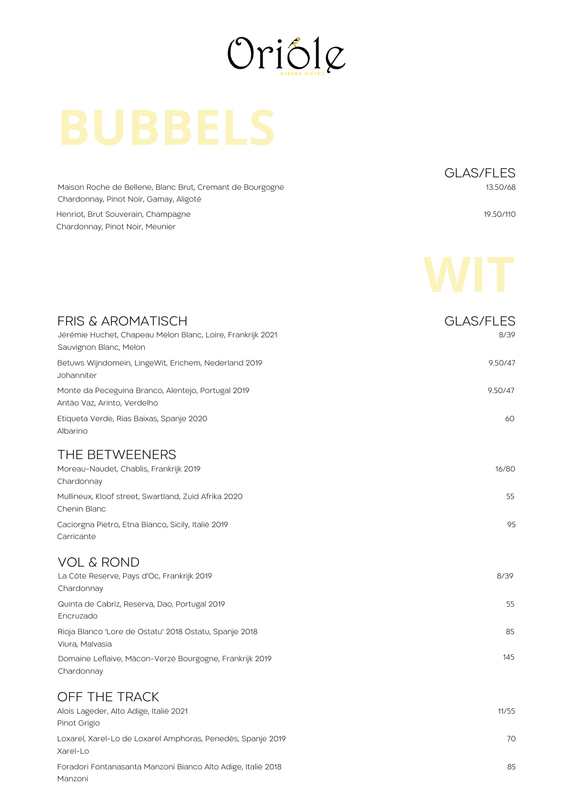

Maison Roche de Bellene, Blanc Brut, Cremant de Bourgogne Chardonnay, Pinot Noir, Gamay, Aligoté

Henriot, Brut Souverain, Champagne Chardonnay, Pinot Noir, Meunier

Manzoni

GLAS/FLES 13.50/68

19.50/110



| <b>FRIS &amp; AROMATISCH</b><br>Jérémie Huchet, Chapeau Melon Blanc, Loire, Frankrijk 2021<br>Sauvignon Blanc, Melon | <b>GLAS/FLES</b><br>8/39 |
|----------------------------------------------------------------------------------------------------------------------|--------------------------|
| Betuws Wijndomein, LingeWit, Erichem, Nederland 2019<br>Johanniter                                                   | 9.50/47                  |
| Monte da Peceguina Branco, Alentejo, Portugal 2019<br>Antão Vaz, Arinto, Verdelho                                    | 9.50/47                  |
| Etiqueta Verde, Rias Baixas, Spanje 2020<br>Albarino                                                                 | 60                       |
| THE BETWEENERS<br>Moreau-Naudet, Chablis, Frankrijk 2019<br>Chardonnay                                               | 16/80                    |
| Mullineux, Kloof street, Swartland, Zuid Afrika 2020<br>Chenin Blanc                                                 | 55                       |
| Caciorgna Pietro, Etna Bianco, Sicily, Italië 2019<br>Carricante                                                     | 95                       |
| <b>VOL &amp; ROND</b>                                                                                                |                          |
| La Côte Reserve, Pays d'Oc, Frankrijk 2019<br>Chardonnay                                                             | 8/39                     |
| Quinta de Cabriz, Reserva, Dao, Portugal 2019<br>Encruzado                                                           | 55                       |
| Rioja Blanco 'Lore de Ostatu' 2018 Ostatu, Spanje 2018<br>Viura, Malvasia                                            | 85                       |
| Domaine Leflaive, Mâcon-Verzé Bourgogne, Frankrijk 2019<br>Chardonnay                                                | 145                      |
| OFF THE TRACK                                                                                                        |                          |
| Alois Lageder, Alto Adige, Italië 2021<br>Pinot Grigio                                                               | 11/55                    |
| Loxarel, Xarel-Lo de Loxarel Amphoras, Penedès, Spanje 2019<br>Xarel-Lo                                              | 70                       |
| Foradori Fontanasanta Manzoni Bianco Alto Adige, Italië 2018                                                         | 85                       |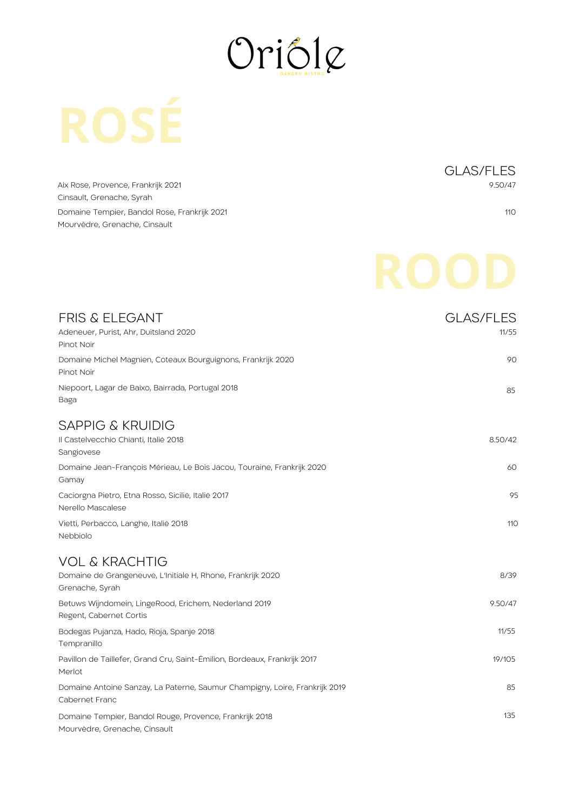

Aix Rose, Provence, Frankrijk 2021 Cinsault, Grenache, Syrah Domaine Tempier, Bandol Rose, Frankrijk 2021 Mourvèdre, Grenache, Cinsault

GLAS/FLES 9.50/47

110

| <b>FRIS &amp; ELEGANT</b><br>Adeneuer, Purist, Ahr, Duitsland 2020<br>Pinot Noir                    | <b>GLAS/FLES</b><br>11/55 |
|-----------------------------------------------------------------------------------------------------|---------------------------|
| Domaine Michel Magnien, Coteaux Bourguignons, Frankrijk 2020<br>Pinot Noir                          | 90                        |
| Niepoort, Lagar de Baixo, Bairrada, Portugal 2018<br>Baga                                           | 85                        |
| <b>SAPPIG &amp; KRUIDIG</b><br>Il Castelvecchio Chianti, Italië 2018<br>Sangiovese                  | 8.50/42                   |
| Domaine Jean-François Mérieau, Le Bois Jacou, Touraine, Frankrijk 2020<br>Gamay                     | 60                        |
| Caciorgna Pietro, Etna Rosso, Sicilië, Italië 2017<br>Nerello Mascalese                             | 95                        |
| Vietti, Perbacco, Langhe, Italië 2018<br>Nebbiolo                                                   | 110                       |
| <b>VOL &amp; KRACHTIG</b><br>Domaine de Grangeneuve, L'Initiale H, Rhone, Frankrijk 2020            | 8/39                      |
| Grenache, Syrah<br>Betuws Wijndomein, LingeRood, Erichem, Nederland 2019<br>Regent, Cabernet Cortis | 9.50/47                   |
| Bodegas Pujanza, Hado, Rioja, Spanje 2018<br>Tempranillo                                            | 11/55                     |
| Pavillon de Taillefer, Grand Cru, Saint-Émilion, Bordeaux, Frankrijk 2017<br>Merlot                 | 19/105                    |
| Domaine Antoine Sanzay, La Paterne, Saumur Champigny, Loire, Frankrijk 2019<br>Cabernet Franc       | 85                        |
| Domaine Tempier, Bandol Rouge, Provence, Frankrijk 2018<br>Mourvèdre, Grenache, Cinsault            | 135                       |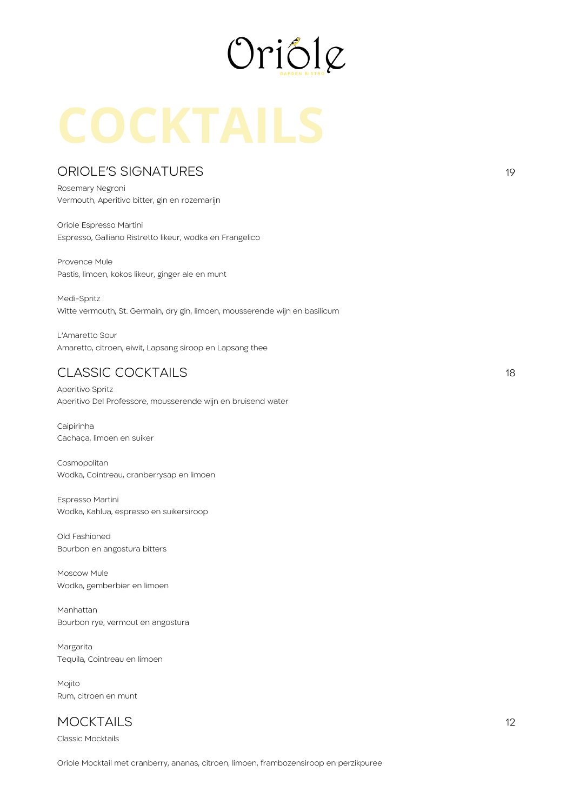

### ORIOLE'S SIGNATURES

Rosemary Negroni Vermouth, Aperitivo bitter, gin en rozemarijn

Oriole Espresso Martini Espresso, Galliano Ristretto likeur, wodka en Frangelico

Provence Mule Pastis, limoen, kokos likeur, ginger ale en munt

Medi-Spritz Witte vermouth, St. Germain, dry gin, limoen, mousserende wijn en basilicum

L'Amaretto Sour Amaretto, citroen, eiwit, Lapsang siroop en Lapsang thee

## CLASSIC COCKTAILS 18

Aperitivo Spritz Aperitivo Del Professore, mousserende wijn en bruisend water

Caipirinha Cachaça, limoen en suiker

Cosmopolitan Wodka, Cointreau, cranberrysap en limoen

Espresso Martini Wodka, Kahlua, espresso en suikersiroop

Old Fashioned Bourbon en angostura bitters

Moscow Mule Wodka, gemberbier en limoen

Manhattan Bourbon rye, vermout en angostura

Margarita Tequila, Cointreau en limoen

Mojito Rum, citroen en munt

# MOCKTAILS 12

Classic Mocktails

Oriole Mocktail met cranberry, ananas, citroen, limoen, frambozensiroop en perzikpuree

19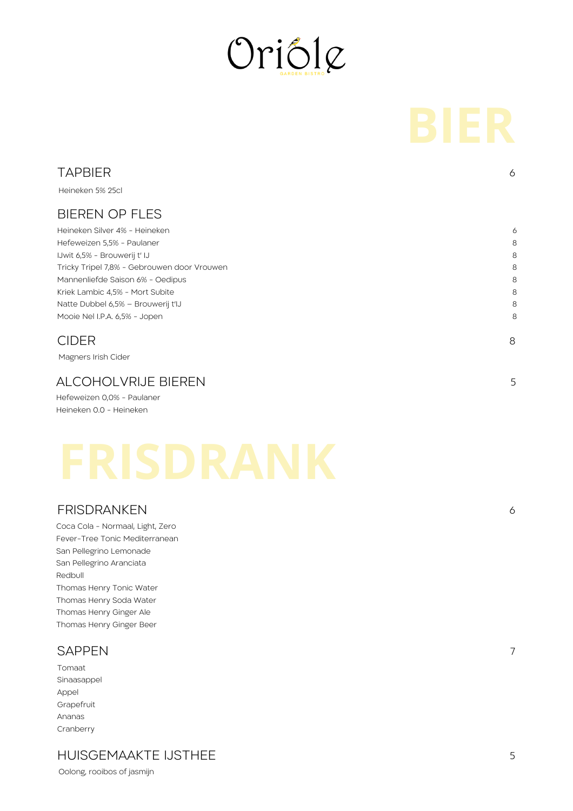

| <b>TAPBIER</b>                              | 6 |
|---------------------------------------------|---|
| Heineken 5% 25cl                            |   |
| <b>BIEREN OP FLES</b>                       |   |
| Heineken Silver 4% - Heineken               | 6 |
| Hefeweizen 5,5% - Paulaner                  | 8 |
| IJwit 6,5% - Brouwerij t' IJ                | 8 |
| Tricky Tripel 7,8% - Gebrouwen door Vrouwen | 8 |
| Mannenliefde Saison 6% - Oedipus            | 8 |
| Kriek Lambic 4,5% - Mort Subite             | 8 |
| Natte Dubbel 6,5% - Brouwerij t'IJ          | 8 |
| Mooie Nel I.P.A. 6,5% - Jopen               | 8 |
| <b>CIDER</b>                                | 8 |

Magners Irish Cider

### ALCOHOLVRIJE BIEREN

Hefeweizen 0,0% - Paulaner Heineken 0.0 - Heineken

### FRISDRANKEN

Coca Cola - Normaal, Light, Zero Fever-Tree Tonic Mediterranean San Pellegrino Lemonade San Pellegrino Aranciata Redbull Thomas Henry Tonic Water Thomas Henry Soda Water Thomas Henry Ginger Ale Thomas Henry Ginger Beer

### **SAPPEN**

Tomaat Sinaasappel Appel Grapefruit Ananas Cranberry

## HUISGEMAAKTE IJSTHEE

Oolong, rooibos of jasmijn

7

6

5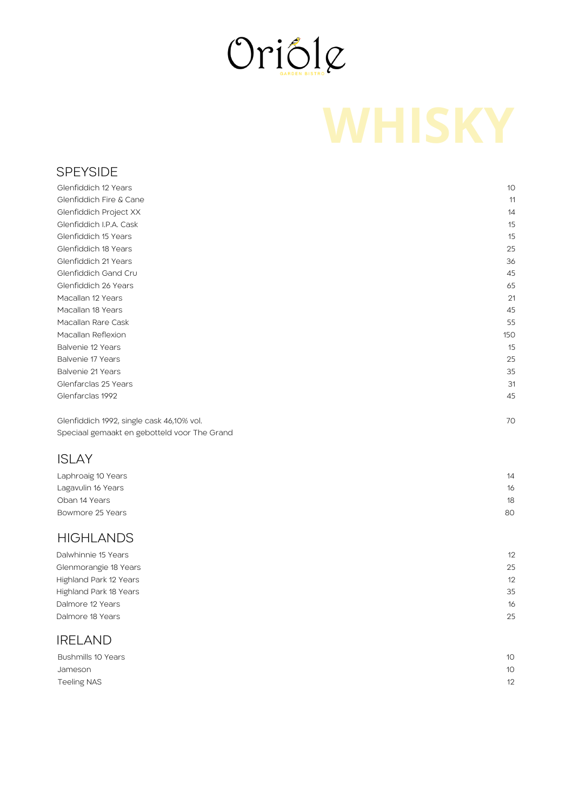

### SPEYSIDE

| Glenfiddich 12 Years                      | 10  |
|-------------------------------------------|-----|
| Glenfiddich Fire & Cane                   | 11  |
| Glenfiddich Project XX                    | 14  |
| Glenfiddich I.P.A. Cask                   | 15  |
| Glenfiddich 15 Years                      | 15  |
| Glenfiddich 18 Years                      | 25  |
| Glenfiddich 21 Years                      | 36  |
| Glenfiddich Gand Cru                      | 45  |
| Glenfiddich 26 Years                      | 65  |
| Macallan 12 Years                         | 21  |
| Macallan 18 Years                         | 45  |
| Macallan Rare Cask                        | 55  |
| Macallan Reflexion                        | 150 |
| Balvenie 12 Years                         | 15  |
| Balvenie 17 Years                         | 25  |
| Balvenie 21 Years                         | 35  |
| Glenfarclas 25 Years                      | 31  |
| Glenfarclas 1992                          | 45  |
| Glenfiddich 1992, single cask 46,10% vol. | 70  |

Speciaal gemaakt en gebotteld voor The Grand

### ISLAY

| Laphroaig 10 Years | 14 |
|--------------------|----|
| Lagavulin 16 Years | 16 |
| Oban 14 Years      | 18 |
| Bowmore 25 Years   | 80 |
|                    |    |

### **HIGHLANDS**

| Dalwhinnie 15 Years    | 12 |
|------------------------|----|
| Glenmorangie 18 Years  | 25 |
| Highland Park 12 Years | 12 |
| Highland Park 18 Years | 35 |
| Dalmore 12 Years       | 16 |
| Dalmore 18 Years       | 25 |
|                        |    |

## IRELAND

| Bushmills 10 Years | 10 <sup>°</sup> |
|--------------------|-----------------|
| Jameson            | 10              |
| Teeling NAS        | 12              |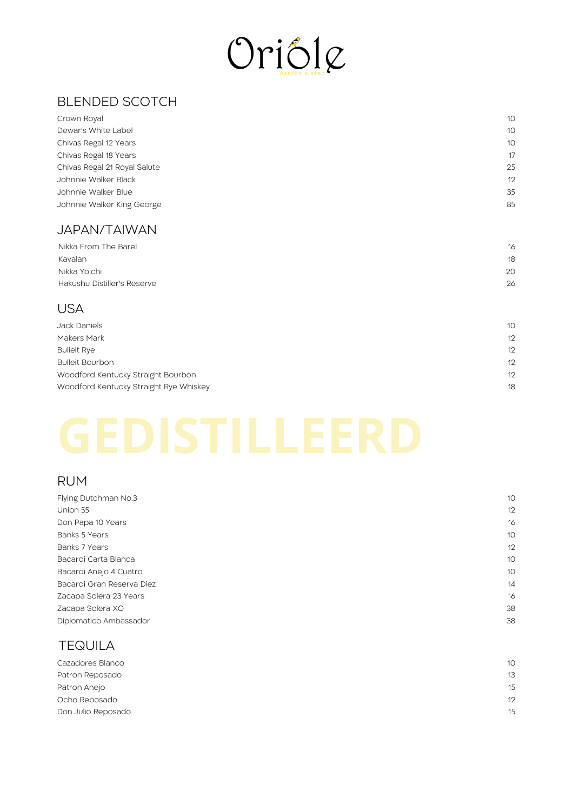

# BLENDED SCOTCH

| Crown Royal                  | 10 |
|------------------------------|----|
| Dewar's White Label          | 10 |
| Chivas Regal 12 Years        | 10 |
| Chivas Regal 18 Years        | 17 |
| Chivas Regal 21 Royal Salute | 25 |
| Johnnie Walker Black         | 12 |
| Johnnie Walker Blue          | 35 |
| Johnnie Walker King George   | 85 |
|                              |    |

### JAPAN/TAIWAN

| Nikka From The Barel        | 16 |
|-----------------------------|----|
| Kavalan                     | 18 |
| Nikka Yoichi                | 20 |
| Hakushu Distiller's Reserve | 26 |
|                             |    |

## USA

| Jack Daniels                           | 10 <sup>°</sup> |
|----------------------------------------|-----------------|
| Makers Mark                            | 12              |
| <b>Bulleit Rye</b>                     | 12              |
| <b>Bulleit Bourbon</b>                 | 12              |
| Woodford Kentucky Straight Bourbon     | 12              |
| Woodford Kentucky Straight Rye Whiskey | 18              |

# RUM

| Flying Dutchman No.3      | 10 |
|---------------------------|----|
| Union 55                  | 12 |
| Don Papa 10 Years         | 16 |
| Banks 5 Years             | 10 |
| Banks 7 Years             | 12 |
| Bacardi Carta Blanca      | 10 |
| Bacardi Anejo 4 Cuatro    | 10 |
| Bacardi Gran Reserva Diez | 14 |
| Zacapa Solera 23 Years    | 16 |
| Zacapa Solera XO          | 38 |
| Diplomatico Ambassador    | 38 |
|                           |    |

# TEQUILA

| Cazadores Blanco   | 10 |
|--------------------|----|
| Patron Reposado    | 13 |
| Patron Anejo       | 15 |
| Ocho Reposado      | 12 |
| Don Julio Reposado | 15 |
|                    |    |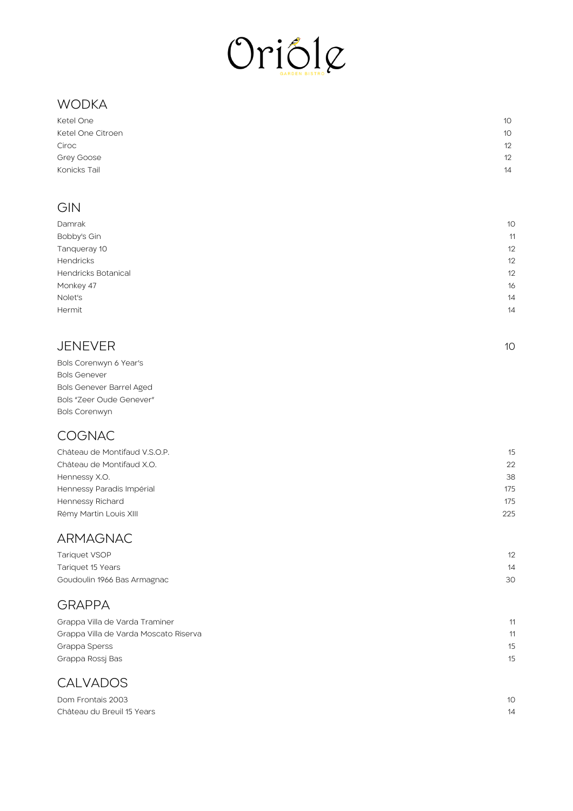

# WODKA

| Ketel One         | 10 |
|-------------------|----|
| Ketel One Citroen | 10 |
| Ciroc             | 12 |
| Grey Goose        | 12 |
| Konicks Tail      | 14 |
|                   |    |

# **GIN**

| 10<br>Damrak<br>Bobby's Gin<br>11 |
|-----------------------------------|
|                                   |
|                                   |
| Tanqueray 10<br>12                |
| <b>Hendricks</b><br>12            |
| <b>Hendricks Botanical</b><br>12  |
| Monkey 47<br>16                   |
| Nolet's<br>14                     |
| Hermit<br>14                      |

1 0

## **JENEVER**

| Bols Corenwyn 6 Year's          |
|---------------------------------|
| <b>Bols Genever</b>             |
| <b>Bols Genever Barrel Aged</b> |
| Bols "Zeer Oude Genever"        |
| <b>Bols Corenwyn</b>            |

# **COGNAC**

| Château de Montifaud V.S.O.P. | 15  |
|-------------------------------|-----|
| Château de Montifaud X.O.     | 22  |
| Hennessy X.O.                 | 38  |
| Hennessy Paradis Impérial     | 175 |
| Hennessy Richard              | 175 |
| Rémy Martin Louis XIII        | 225 |
|                               |     |

## ARMAGNAC

| Tariquet VSOP               | 12 |
|-----------------------------|----|
| Tariquet 15 Years           | 14 |
| Goudoulin 1966 Bas Armagnac | 30 |

# **GRAPPA**

| Grappa Villa de Varda Traminer        | 11      |
|---------------------------------------|---------|
| Grappa Villa de Varda Moscato Riserva | 11      |
| Grappa Sperss                         | $15 \,$ |
| Grappa Rossi Bas                      | $15 \,$ |
|                                       |         |

# **CALVADOS**

| Dom Frontais 2003          | 10 <sup>2</sup> |
|----------------------------|-----------------|
| Château du Breuil 15 Years | 14              |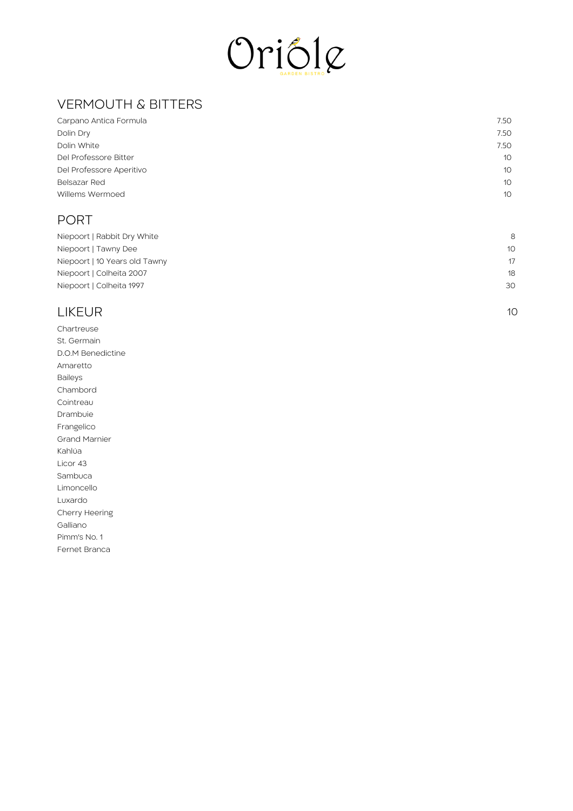

# VERMOUTH & BITTERS

| Carpano Antica Formula   | 7.50            |
|--------------------------|-----------------|
| Dolin Dry                | 7.50            |
| Dolin White              | 7.50            |
| Del Professore Bitter    | 10 <sup>°</sup> |
| Del Professore Aperitivo | 10 <sup>°</sup> |
| Belsazar Red             | 10 <sup>°</sup> |
| Willems Wermoed          | 10 <sup>°</sup> |
|                          |                 |

## PORT

| Niepoort   Rabbit Dry White   | 8               |
|-------------------------------|-----------------|
| Niepoort   Tawny Dee          | 10 <sup>°</sup> |
| Niepoort   10 Years old Tawny | 17              |
| Niepoort   Colheita 2007      | 18              |
| Niepoort   Colheita 1997      | 30              |

1 0

# LIKEUR

Chartreuse St. Germain D.O.M Benedictine Amaretto B aile y s C h a m b o r d Cointreau Drambuie Frangelico Grand Marnier K a hlú a Licor 43 S a m b u c a Limoncello Luxardo Cherry Heering G allia n o Pim m's N o. 1 Fernet Branca